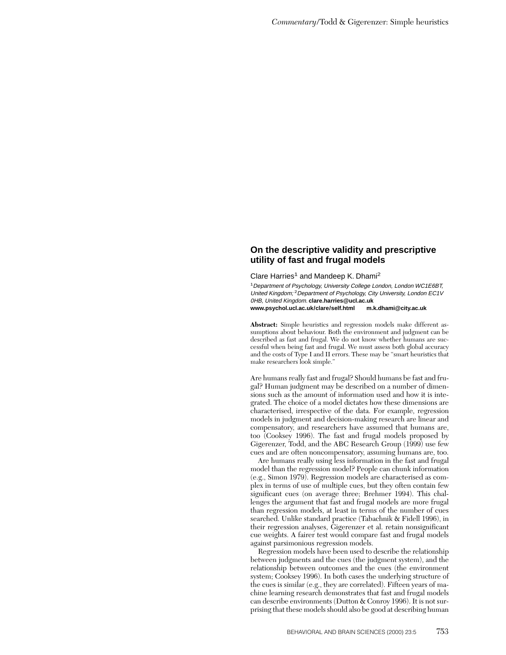## **On the descriptive validity and prescriptive utility of fast and frugal models**

Clare Harries<sup>1</sup> and Mandeep K. Dhami<sup>2</sup>

<sup>1</sup>Department of Psychology, University College London, London WC1E6BT, United Kingdom; <sup>2</sup>Department of Psychology, City University, London EC1V 0HB, United Kingdom. **clare.harries@ucl.ac.uk www.psychol.ucl.ac.uk/clare/self.html m.k.dhami@city.ac.uk**

**Abstract:** Simple heuristics and regression models make different assumptions about behaviour. Both the environment and judgment can be described as fast and frugal. We do not know whether humans are successful when being fast and frugal. We must assess both global accuracy and the costs of Type I and II errors. These may be "smart heuristics that make researchers look simple."

Are humans really fast and frugal? Should humans be fast and frugal? Human judgment may be described on a number of dimensions such as the amount of information used and how it is integrated. The choice of a model dictates how these dimensions are characterised, irrespective of the data. For example, regression models in judgment and decision-making research are linear and compensatory, and researchers have assumed that humans are, too (Cooksey 1996). The fast and frugal models proposed by Gigerenzer, Todd, and the ABC Research Group (1999) use few cues and are often noncompensatory, assuming humans are, too.

Are humans really using less information in the fast and frugal model than the regression model? People can chunk information (e.g., Simon 1979). Regression models are characterised as complex in terms of use of multiple cues, but they often contain few significant cues (on average three; Brehmer 1994). This challenges the argument that fast and frugal models are more frugal than regression models, at least in terms of the number of cues searched. Unlike standard practice (Tabachnik & Fidell 1996), in their regression analyses, Gigerenzer et al. retain nonsignificant cue weights. A fairer test would compare fast and frugal models against parsimonious regression models.

Regression models have been used to describe the relationship between judgments and the cues (the judgment system), and the relationship between outcomes and the cues (the environment system; Cooksey 1996). In both cases the underlying structure of the cues is similar (e.g., they are correlated). Fifteen years of machine learning research demonstrates that fast and frugal models can describe environments (Dutton & Conroy 1996). It is not surprising that these models should also be good at describing human